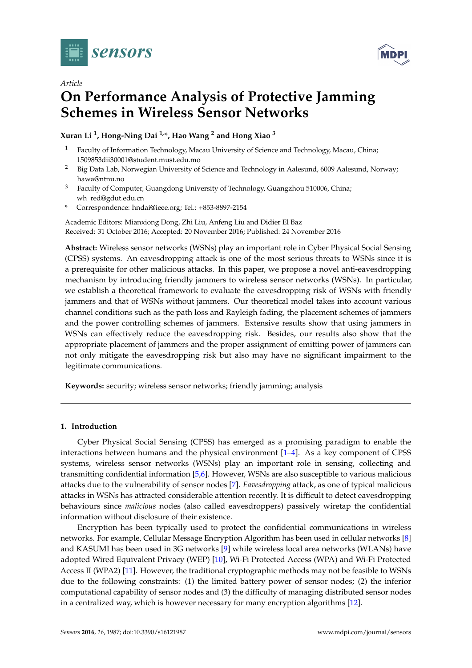

*Article*



# **On Performance Analysis of Protective Jamming Schemes in Wireless Sensor Networks**

**Xuran Li <sup>1</sup> , Hong-Ning Dai 1,\*, Hao Wang <sup>2</sup> and Hong Xiao <sup>3</sup>**

- <sup>1</sup> Faculty of Information Technology, Macau University of Science and Technology, Macau, China; 1509853dii30001@student.must.edu.mo
- <sup>2</sup> Big Data Lab, Norwegian University of Science and Technology in Aalesund, 6009 Aalesund, Norway; hawa@ntnu.no
- <sup>3</sup> Faculty of Computer, Guangdong University of Technology, Guangzhou 510006, China; wh\_red@gdut.edu.cn
- **\*** Correspondence: hndai@ieee.org; Tel.: +853-8897-2154

Academic Editors: Mianxiong Dong, Zhi Liu, Anfeng Liu and Didier El Baz Received: 31 October 2016; Accepted: 20 November 2016; Published: 24 November 2016

**Abstract:** Wireless sensor networks (WSNs) play an important role in Cyber Physical Social Sensing (CPSS) systems. An eavesdropping attack is one of the most serious threats to WSNs since it is a prerequisite for other malicious attacks. In this paper, we propose a novel anti-eavesdropping mechanism by introducing friendly jammers to wireless sensor networks (WSNs). In particular, we establish a theoretical framework to evaluate the eavesdropping risk of WSNs with friendly jammers and that of WSNs without jammers. Our theoretical model takes into account various channel conditions such as the path loss and Rayleigh fading, the placement schemes of jammers and the power controlling schemes of jammers. Extensive results show that using jammers in WSNs can effectively reduce the eavesdropping risk. Besides, our results also show that the appropriate placement of jammers and the proper assignment of emitting power of jammers can not only mitigate the eavesdropping risk but also may have no significant impairment to the legitimate communications.

**Keywords:** security; wireless sensor networks; friendly jamming; analysis

# **1. Introduction**

Cyber Physical Social Sensing (CPSS) has emerged as a promising paradigm to enable the interactions between humans and the physical environment [\[1–](#page-16-0)[4\]](#page-17-0). As a key component of CPSS systems, wireless sensor networks (WSNs) play an important role in sensing, collecting and transmitting confidential information [\[5,](#page-17-1)[6\]](#page-17-2). However, WSNs are also susceptible to various malicious attacks due to the vulnerability of sensor nodes [\[7\]](#page-17-3). *Eavesdropping* attack, as one of typical malicious attacks in WSNs has attracted considerable attention recently. It is difficult to detect eavesdropping behaviours since *malicious* nodes (also called eavesdroppers) passively wiretap the confidential information without disclosure of their existence.

Encryption has been typically used to protect the confidential communications in wireless networks. For example, Cellular Message Encryption Algorithm has been used in cellular networks [\[8\]](#page-17-4) and KASUMI has been used in 3G networks [\[9\]](#page-17-5) while wireless local area networks (WLANs) have adopted Wired Equivalent Privacy (WEP) [\[10\]](#page-17-6), Wi-Fi Protected Access (WPA) and Wi-Fi Protected Access II (WPA2) [\[11\]](#page-17-7). However, the traditional cryptographic methods may not be feasible to WSNs due to the following constraints: (1) the limited battery power of sensor nodes; (2) the inferior computational capability of sensor nodes and (3) the difficulty of managing distributed sensor nodes in a centralized way, which is however necessary for many encryption algorithms [\[12\]](#page-17-8).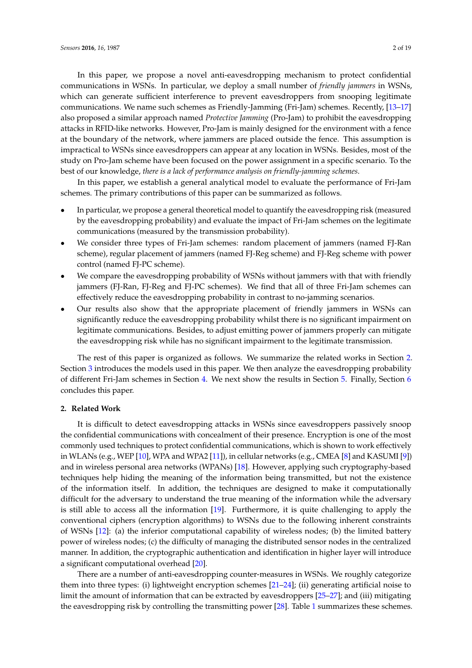In this paper, we propose a novel anti-eavesdropping mechanism to protect confidential communications in WSNs. In particular, we deploy a small number of *friendly jammers* in WSNs, which can generate sufficient interference to prevent eavesdroppers from snooping legitimate communications. We name such schemes as Friendly-Jamming (Fri-Jam) schemes. Recently, [\[13](#page-17-9)[–17\]](#page-17-10) also proposed a similar approach named *Protective Jamming* (Pro-Jam) to prohibit the eavesdropping attacks in RFID-like networks. However, Pro-Jam is mainly designed for the environment with a fence at the boundary of the network, where jammers are placed outside the fence. This assumption is impractical to WSNs since eavesdroppers can appear at any location in WSNs. Besides, most of the study on Pro-Jam scheme have been focused on the power assignment in a specific scenario. To the best of our knowledge, *there is a lack of performance analysis on friendly-jamming schemes*.

In this paper, we establish a general analytical model to evaluate the performance of Fri-Jam schemes. The primary contributions of this paper can be summarized as follows.

- In particular, we propose a general theoretical model to quantify the eavesdropping risk (measured by the eavesdropping probability) and evaluate the impact of Fri-Jam schemes on the legitimate communications (measured by the transmission probability).
- We consider three types of Fri-Jam schemes: random placement of jammers (named FJ-Ran scheme), regular placement of jammers (named FJ-Reg scheme) and FJ-Reg scheme with power control (named FJ-PC scheme).
- We compare the eavesdropping probability of WSNs without jammers with that with friendly jammers (FJ-Ran, FJ-Reg and FJ-PC schemes). We find that all of three Fri-Jam schemes can effectively reduce the eavesdropping probability in contrast to no-jamming scenarios.
- Our results also show that the appropriate placement of friendly jammers in WSNs can significantly reduce the eavesdropping probability whilst there is no significant impairment on legitimate communications. Besides, to adjust emitting power of jammers properly can mitigate the eavesdropping risk while has no significant impairment to the legitimate transmission.

The rest of this paper is organized as follows. We summarize the related works in Section [2.](#page-1-0) Section [3](#page-2-0) introduces the models used in this paper. We then analyze the eavesdropping probability of different Fri-Jam schemes in Section [4.](#page-4-0) We next show the results in Section [5.](#page-9-0) Finally, Section [6](#page-13-0) concludes this paper.

#### <span id="page-1-0"></span>**2. Related Work**

It is difficult to detect eavesdropping attacks in WSNs since eavesdroppers passively snoop the confidential communications with concealment of their presence. Encryption is one of the most commonly used techniques to protect confidential communications, which is shown to work effectively in WLANs (e.g., WEP [\[10\]](#page-17-6), WPA and WPA2 [\[11\]](#page-17-7)), in cellular networks (e.g., CMEA [\[8\]](#page-17-4) and KASUMI [\[9\]](#page-17-5)) and in wireless personal area networks (WPANs) [\[18\]](#page-17-11). However, applying such cryptography-based techniques help hiding the meaning of the information being transmitted, but not the existence of the information itself. In addition, the techniques are designed to make it computationally difficult for the adversary to understand the true meaning of the information while the adversary is still able to access all the information [\[19\]](#page-17-12). Furthermore, it is quite challenging to apply the conventional ciphers (encryption algorithms) to WSNs due to the following inherent constraints of WSNs [\[12\]](#page-17-8): (a) the inferior computational capability of wireless nodes; (b) the limited battery power of wireless nodes; (c) the difficulty of managing the distributed sensor nodes in the centralized manner. In addition, the cryptographic authentication and identification in higher layer will introduce a significant computational overhead [\[20\]](#page-17-13).

There are a number of anti-eavesdropping counter-measures in WSNs. We roughly categorize them into three types: (i) lightweight encryption schemes [\[21–](#page-17-14)[24\]](#page-18-0); (ii) generating artificial noise to limit the amount of information that can be extracted by eavesdroppers [\[25](#page-18-1)[–27\]](#page-18-2); and (iii) mitigating the eavesdropping risk by controlling the transmitting power [\[28\]](#page-18-3). Table [1](#page-2-1) summarizes these schemes.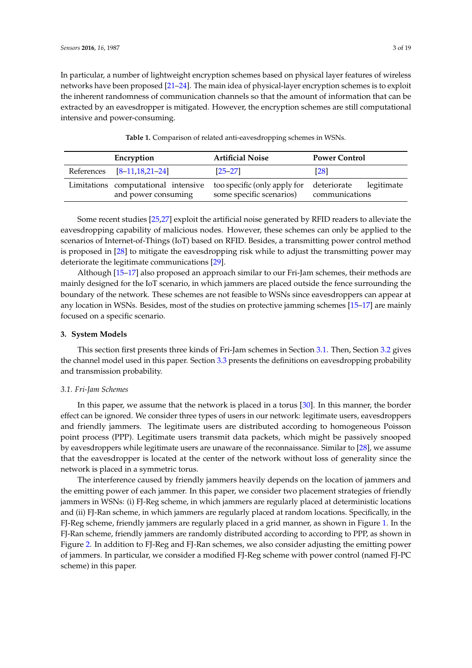In particular, a number of lightweight encryption schemes based on physical layer features of wireless networks have been proposed [\[21–](#page-17-14)[24\]](#page-18-0). The main idea of physical-layer encryption schemes is to exploit the inherent randomness of communication channels so that the amount of information that can be extracted by an eavesdropper is mitigated. However, the encryption schemes are still computational intensive and power-consuming.

<span id="page-2-1"></span>

| Encryption                 | <b>Artificial Noise</b>                                                                                                            | <b>Power Control</b> |
|----------------------------|------------------------------------------------------------------------------------------------------------------------------------|----------------------|
| References [8-11,18,21-24] | $[25 - 27]$                                                                                                                        | [28]                 |
| and power consuming        | Limitations computational intensive too specific (only apply for deteriorate legitimate<br>some specific scenarios) communications |                      |

**Table 1.** Comparison of related anti-eavesdropping schemes in WSNs.

Some recent studies [\[25,](#page-18-1)[27\]](#page-18-2) exploit the artificial noise generated by RFID readers to alleviate the eavesdropping capability of malicious nodes. However, these schemes can only be applied to the scenarios of Internet-of-Things (IoT) based on RFID. Besides, a transmitting power control method is proposed in [\[28\]](#page-18-3) to mitigate the eavesdropping risk while to adjust the transmitting power may deteriorate the legitimate communications [\[29\]](#page-18-4).

Although [\[15–](#page-17-15)[17\]](#page-17-10) also proposed an approach similar to our Fri-Jam schemes, their methods are mainly designed for the IoT scenario, in which jammers are placed outside the fence surrounding the boundary of the network. These schemes are not feasible to WSNs since eavesdroppers can appear at any location in WSNs. Besides, most of the studies on protective jamming schemes [\[15](#page-17-15)[–17\]](#page-17-10) are mainly focused on a specific scenario.

# <span id="page-2-0"></span>**3. System Models**

This section first presents three kinds of Fri-Jam schemes in Section [3.1.](#page-2-2) Then, Section [3.2](#page-3-0) gives the channel model used in this paper. Section [3.3](#page-4-1) presents the definitions on eavesdropping probability and transmission probability.

#### <span id="page-2-2"></span>*3.1. Fri-Jam Schemes*

In this paper, we assume that the network is placed in a torus [\[30\]](#page-18-5). In this manner, the border effect can be ignored. We consider three types of users in our network: legitimate users, eavesdroppers and friendly jammers. The legitimate users are distributed according to homogeneous Poisson point process (PPP). Legitimate users transmit data packets, which might be passively snooped by eavesdroppers while legitimate users are unaware of the reconnaissance. Similar to [\[28\]](#page-18-3), we assume that the eavesdropper is located at the center of the network without loss of generality since the network is placed in a symmetric torus.

The interference caused by friendly jammers heavily depends on the location of jammers and the emitting power of each jammer. In this paper, we consider two placement strategies of friendly jammers in WSNs: (i) FJ-Reg scheme, in which jammers are regularly placed at deterministic locations and (ii) FJ-Ran scheme, in which jammers are regularly placed at random locations. Specifically, in the FJ-Reg scheme, friendly jammers are regularly placed in a grid manner, as shown in Figure [1.](#page-3-1) In the FJ-Ran scheme, friendly jammers are randomly distributed according to according to PPP, as shown in Figure [2.](#page-3-2) In addition to FJ-Reg and FJ-Ran schemes, we also consider adjusting the emitting power of jammers. In particular, we consider a modified FJ-Reg scheme with power control (named FJ-PC scheme) in this paper.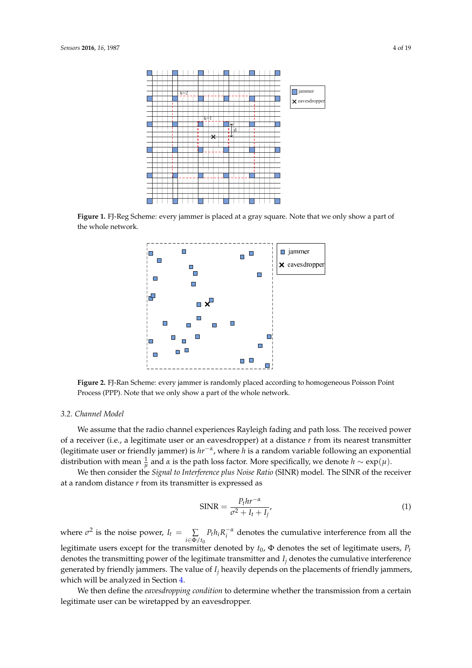<span id="page-3-1"></span>

<span id="page-3-2"></span>**Figure 1.** FJ-Reg Scheme: every jammer is placed at a gray square. Note that we only show a part of the whole network.



**Figure 2.** FJ-Ran Scheme: every jammer is randomly placed according to homogeneous Poisson Point Process (PPP). Note that we only show a part of the whole network.

# <span id="page-3-0"></span>*3.2. Channel Model*

We assume that the radio channel experiences Rayleigh fading and path loss. The received power of a receiver (i.e., a legitimate user or an eavesdropper) at a distance *r* from its nearest transmitter (legitimate user or friendly jammer) is *hr*−*<sup>α</sup>* , where *h* is a random variable following an exponential distribution with mean  $\frac{1}{\mu}$  and  $\alpha$  is the path loss factor. More specifically, we denote  $h \sim \exp(\mu)$ .

We then consider the *Signal to Interference plus Noise Ratio* (SINR) model. The SINR of the receiver at a random distance *r* from its transmitter is expressed as

$$
\text{SINR} = \frac{P_t hr^{-\alpha}}{\sigma^2 + I_t + I_j'},\tag{1}
$$

where  $\sigma^2$  is the noise power,  $I_t = \sum$ *i*∈Φ/*t*<sup>0</sup>  $P_t h_i R_i^{-\alpha}$  denotes the cumulative interference from all the legitimate users except for the transmitter denoted by *t*0, Φ denotes the set of legitimate users, *P<sup>t</sup>* denotes the transmitting power of the legitimate transmitter and *I<sup>j</sup>* denotes the cumulative interference generated by friendly jammers. The value of *I<sup>j</sup>* heavily depends on the placements of friendly jammers, which will be analyzed in Section [4.](#page-4-0)

We then define the *eavesdropping condition* to determine whether the transmission from a certain legitimate user can be wiretapped by an eavesdropper.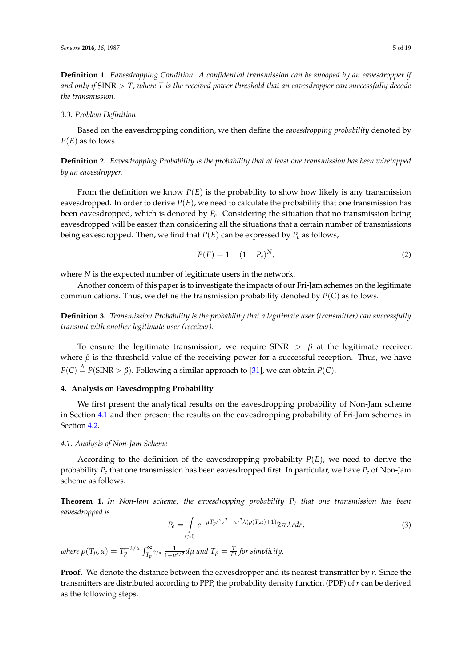**Definition 1.** *Eavesdropping Condition. A confidential transmission can be snooped by an eavesdropper if and only if* SINR > *T, where T is the received power threshold that an eavesdropper can successfully decode the transmission.*

#### <span id="page-4-1"></span>*3.3. Problem Definition*

Based on the eavesdropping condition, we then define the *eavesdropping probability* denoted by *P*(*E*) as follows.

**Definition 2.** *Eavesdropping Probability is the probability that at least one transmission has been wiretapped by an eavesdropper.*

From the definition we know  $P(E)$  is the probability to show how likely is any transmission eavesdropped. In order to derive  $P(E)$ , we need to calculate the probability that one transmission has been eavesdropped, which is denoted by *P<sup>e</sup>* . Considering the situation that no transmission being eavesdropped will be easier than considering all the situations that a certain number of transmissions being eavesdropped. Then, we find that  $P(E)$  can be expressed by  $P_e$  as follows,

$$
P(E) = 1 - (1 - P_e)^N,
$$
\n(2)

where *N* is the expected number of legitimate users in the network.

Another concern of this paper is to investigate the impacts of our Fri-Jam schemes on the legitimate communications. Thus, we define the transmission probability denoted by *P*(*C*) as follows.

**Definition 3.** *Transmission Probability is the probability that a legitimate user (transmitter) can successfully transmit with another legitimate user (receiver).*

To ensure the legitimate transmission, we require SINR  $> \beta$  at the legitimate receiver, where  $\beta$  is the threshold value of the receiving power for a successful reception. Thus, we have  $P({\cal C}) \stackrel{\Delta}{=} P({\rm SINR} > \beta).$  Following a similar approach to [\[31\]](#page-18-6), we can obtain  $P({\cal C}).$ 

# <span id="page-4-0"></span>**4. Analysis on Eavesdropping Probability**

We first present the analytical results on the eavesdropping probability of Non-Jam scheme in Section [4.1](#page-4-2) and then present the results on the eavesdropping probability of Fri-Jam schemes in Section [4.2.](#page-6-0)

#### <span id="page-4-2"></span>*4.1. Analysis of Non-Jam Scheme*

According to the definition of the eavesdropping probability  $P(E)$ , we need to derive the probability *P<sup>e</sup>* that one transmission has been eavesdropped first. In particular, we have *P<sup>e</sup>* of Non-Jam scheme as follows.

<span id="page-4-3"></span>**Theorem 1.** *In Non-Jam scheme, the eavesdropping probability P<sup>e</sup> that one transmission has been eavesdropped is*

$$
P_e = \int_{r>0} e^{-\mu T_p r^{\alpha} \sigma^2 - \pi r^2 \lambda (\rho(T,\alpha) + 1)} 2\pi \lambda r dr,
$$
\n(3)

*where*  $\rho(T_p, \alpha) = T_p^{-2/\alpha} \int_{T_p^{-2/\alpha}}^{\infty}$  $\frac{1}{1+\mu^{\alpha/2}}$ d $\mu$  and  $T_p = \frac{T}{Pt}$  for simplicity.

**Proof.** We denote the distance between the eavesdropper and its nearest transmitter by *r*. Since the transmitters are distributed according to PPP, the probability density function (PDF) of *r* can be derived as the following steps.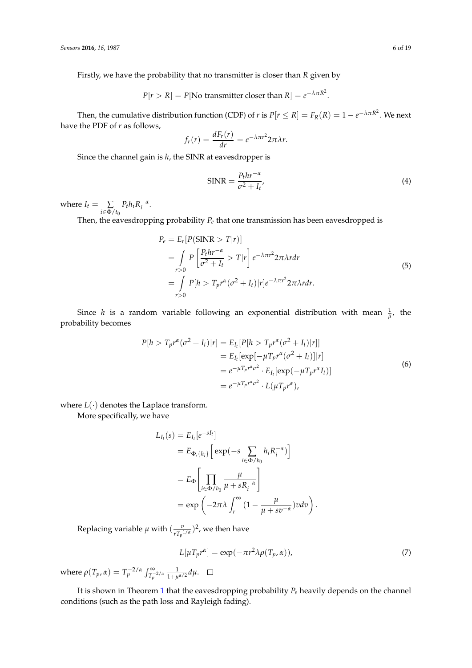Firstly, we have the probability that no transmitter is closer than *R* given by

$$
P[r > R] = P
$$
[No transmitter closer than R] =  $e^{-\lambda \pi R^2}$ .

Then, the cumulative distribution function (CDF) of *r* is  $P[r \leq R] = F_R(R) = 1 - e^{-\lambda \pi R^2}$ . We next have the PDF of *r* as follows,

$$
f_r(r) = \frac{dF_r(r)}{dr} = e^{-\lambda \pi r^2} 2\pi \lambda r.
$$

Since the channel gain is *h*, the SINR at eavesdropper is

$$
SINR = \frac{P_t hr^{-\alpha}}{\sigma^2 + I_t'},\tag{4}
$$

where  $I_t = \sum$ *i*∈Φ/*t*<sup>0</sup>  $P_t h_i R_i^{-\alpha}$ .

Then, the eavesdropping probability  $P_e$  that one transmission has been eavesdropped is

$$
P_e = E_r[P(SINR > T|r)]
$$
  
= 
$$
\int_{r>0} P\left[\frac{P_t hr^{-\alpha}}{\sigma^2 + I_t} > T|r\right] e^{-\lambda \pi r^2} 2\pi \lambda r dr
$$
  
= 
$$
\int_{r>0} P[h > T_p r^{\alpha} (\sigma^2 + I_t)|r] e^{-\lambda \pi r^2} 2\pi \lambda r dr.
$$
 (5)

Since *h* is a random variable following an exponential distribution with mean  $\frac{1}{\mu}$ , the probability becomes

$$
P[h > T_p r^{\alpha} (\sigma^2 + I_t) | r] = E_{I_t} [P[h > T_p r^{\alpha} (\sigma^2 + I_t) | r]]
$$
  
\n
$$
= E_{I_t} [\exp[-\mu T_p r^{\alpha} (\sigma^2 + I_t)] | r]
$$
  
\n
$$
= e^{-\mu T_p r^{\alpha} \sigma^2} \cdot E_{I_t} [\exp(-\mu T_p r^{\alpha} I_t)]
$$
  
\n
$$
= e^{-\mu T_p r^{\alpha} \sigma^2} \cdot L(\mu T_p r^{\alpha}),
$$
\n(6)

where  $L(\cdot)$  denotes the Laplace transform.

More specifically, we have

$$
L_{I_t}(s) = E_{I_t}[e^{-sI_t}]
$$
  
=  $E_{\Phi_t\{h_i\}} \Big[ exp(-s \sum_{i \in \Phi/b_0} h_i R_i^{-\alpha}) \Big]$   
=  $E_{\Phi} \Biggl[ \prod_{i \in \Phi/b_0} \frac{\mu}{\mu + sR_i^{-\alpha}} \Biggr]$   
=  $exp \left( -2\pi \lambda \int_r^{\infty} (1 - \frac{\mu}{\mu + s v^{-\alpha}}) v dv \right)$ 

Replacing variable  $\mu$  with  $(\frac{v}{rT})$  $\frac{v}{rT_p^{1/\alpha}})^2$ , we then have

$$
L[\mu T_p r^{\alpha}] = \exp(-\pi r^2 \lambda \rho(T_p, \alpha)), \qquad (7)
$$

.

where  $\rho(T_p, \alpha) = T_p^{-2/\alpha} \int_{T_p^{-2/\alpha}}^{\infty}$  $\frac{1}{1+\mu^{\alpha/2}}d\mu.$ 

It is shown in Theorem [1](#page-4-3) that the eavesdropping probability *P<sup>e</sup>* heavily depends on the channel conditions (such as the path loss and Rayleigh fading).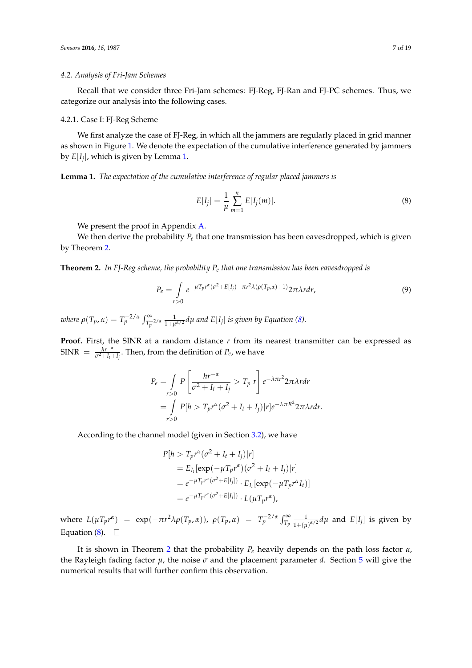# <span id="page-6-0"></span>*4.2. Analysis of Fri-Jam Schemes*

Recall that we consider three Fri-Jam schemes: FJ-Reg, FJ-Ran and FJ-PC schemes. Thus, we categorize our analysis into the following cases.

# 4.2.1. Case I: FJ-Reg Scheme

We first analyze the case of FJ-Reg, in which all the jammers are regularly placed in grid manner as shown in Figure [1.](#page-3-1) We denote the expectation of the cumulative interference generated by jammers by *E*[*I<sup>j</sup>* ], which is given by Lemma [1.](#page-6-1)

<span id="page-6-1"></span>**Lemma 1.** *The expectation of the cumulative interference of regular placed jammers is*

<span id="page-6-3"></span>
$$
E[I_j] = \frac{1}{\mu} \sum_{m=1}^{n} E[I_j(m)].
$$
\n(8)

We present the proof in Appendix [A.](#page-13-1)

We then derive the probability *P<sup>e</sup>* that one transmission has been eavesdropped, which is given by Theorem [2.](#page-6-2)

<span id="page-6-2"></span>**Theorem 2.** *In FJ-Reg scheme, the probability P<sup>e</sup> that one transmission has been eavesdropped is*

$$
P_e = \int_{r>0} e^{-\mu T_p r^{\alpha} (\sigma^2 + E[I_j) - \pi r^2 \lambda (\rho(T_p, \alpha) + 1)} 2\pi \lambda r dr,
$$
\n(9)

*where*  $\rho(T_p, \alpha) = T_p^{-2/\alpha} \int_{T_p^{-2/\alpha}}^{\infty}$  $\frac{1}{1+\mu^{\alpha/2}}$ d $\mu$  and E $[I_j]$  is given by Equation [\(8\)](#page-6-3).

**Proof.** First, the SINR at a random distance *r* from its nearest transmitter can be expressed as  $SINR = \frac{hr^{-\alpha}}{\sigma^2 + I_t + I_j}$ . Then, from the definition of  $P_e$ , we have

$$
P_e = \int_{r>0} P\left[\frac{hr^{-\alpha}}{\sigma^2 + I_t + I_j} > T_p|r\right] e^{-\lambda \pi r^2} 2\pi \lambda r dr
$$
  
= 
$$
\int_{r>0} P[h > T_p r^{\alpha} (\sigma^2 + I_t + I_j)|r] e^{-\lambda \pi R^2} 2\pi \lambda r dr.
$$

According to the channel model (given in Section [3.2\)](#page-3-0), we have

$$
P[h > T_p r^{\alpha} (\sigma^2 + I_t + I_j) | r]
$$
  
=  $E_{I_t} [\exp(-\mu T_p r^{\alpha})(\sigma^2 + I_t + I_j) | r]$   
=  $e^{-\mu T_p r^{\alpha} (\sigma^2 + E[I_j])} \cdot E_{I_t} [\exp(-\mu T_p r^{\alpha} I_t)]$   
=  $e^{-\mu T_p r^{\alpha} (\sigma^2 + E[I_j])} \cdot L(\mu T_p r^{\alpha}),$ 

where  $L(\mu T_p r^{\alpha}) = \exp(-\pi r^2 \lambda \rho(T_p, \alpha))$ ,  $\rho(T_p, \alpha) = T_p^{-2/\alpha} \int_{T_p}^{\infty} \frac{1}{1 + (\mu \lambda)^{\alpha}}$  $\frac{1}{1+(\mu)^{\alpha/2}}d\mu$  and  $E[I_j]$  is given by Equation [\(8\)](#page-6-3).  $\Box$ 

It is shown in Theorem [2](#page-6-2) that the probability *P<sup>e</sup>* heavily depends on the path loss factor *α*, the Rayleigh fading factor  $\mu$ , the noise  $\sigma$  and the placement parameter *d*. Section [5](#page-9-0) will give the numerical results that will further confirm this observation.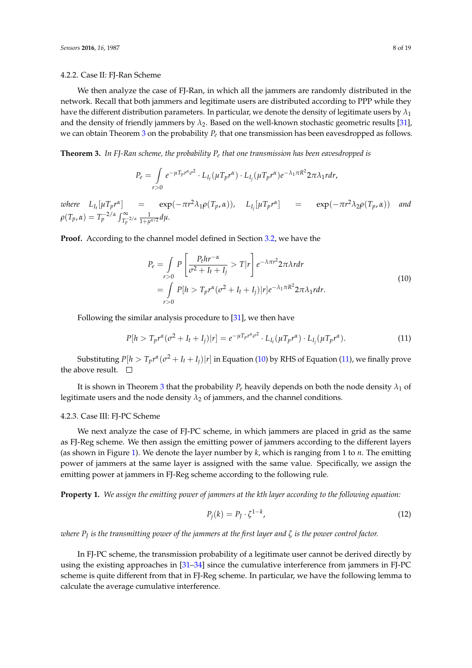#### 4.2.2. Case II: FJ-Ran Scheme

We then analyze the case of FJ-Ran, in which all the jammers are randomly distributed in the network. Recall that both jammers and legitimate users are distributed according to PPP while they have the different distribution parameters. In particular, we denote the density of legitimate users by *λ*<sup>1</sup> and the density of friendly jammers by *λ*2. Based on the well-known stochastic geometric results [\[31\]](#page-18-6), we can obtain Theorem [3](#page-7-0) on the probability *P<sup>e</sup>* that one transmission has been eavesdropped as follows.

<span id="page-7-0"></span>**Theorem 3.** *In FJ-Ran scheme, the probability P<sup>e</sup> that one transmission has been eavesdropped is*

$$
P_e = \int_{r>0} e^{-\mu T_p r^{\alpha} \sigma^2} \cdot L_{I_t} (\mu T_p r^{\alpha}) \cdot L_{I_j} (\mu T_p r^{\alpha}) e^{-\lambda_1 \pi R^2} 2\pi \lambda_1 r dr,
$$

where  $L_{I_t}[\mu T_p r^{\alpha}]$  =  $\exp(-\pi r^2 \lambda_1 \rho(T_p,\alpha)), \quad L_{I_j}[\mu T_p r^{\alpha}]$  =  $\exp(-\pi r^2 \lambda_2 \rho(T_p,\alpha))$  and  $\rho(T_p, \alpha) = T_p^{-2/\alpha} \int_{T_p^{-2/\alpha}}^{\infty}$  $rac{1}{1+\mu^{\alpha/2}}d\mu$ .

**Proof.** According to the channel model defined in Section [3.2,](#page-3-0) we have the

<span id="page-7-1"></span>
$$
P_e = \int_{r>0} P\left[\frac{P_t hr^{-\alpha}}{\sigma^2 + I_t + I_j} > T |r\right] e^{-\lambda \pi r^2} 2\pi \lambda r dr
$$
  
= 
$$
\int_{r>0} P[h > T_p r^{\alpha} (\sigma^2 + I_t + I_j) |r] e^{-\lambda_1 \pi R^2} 2\pi \lambda_1 r dr.
$$
 (10)

Following the similar analysis procedure to [\[31\]](#page-18-6), we then have

<span id="page-7-2"></span>
$$
P[h > T_p r^{\alpha} (\sigma^2 + I_t + I_j) | r] = e^{-\mu T_p r^{\alpha} \sigma^2} \cdot L_{I_t} (\mu T_p r^{\alpha}) \cdot L_{I_j} (\mu T_p r^{\alpha}). \tag{11}
$$

Substituting  $P[h > T_p r^{\alpha} (\sigma^2 + I_t + I_j)|r]$  in Equation [\(10\)](#page-7-1) by RHS of Equation [\(11\)](#page-7-2), we finally prove the above result.  $\square$ 

It is shown in Theorem [3](#page-7-0) that the probability  $P_e$  heavily depends on both the node density  $\lambda_1$  of legitimate users and the node density  $\lambda_2$  of jammers, and the channel conditions.

## 4.2.3. Case III: FJ-PC Scheme

We next analyze the case of FJ-PC scheme, in which jammers are placed in grid as the same as FJ-Reg scheme. We then assign the emitting power of jammers according to the different layers (as shown in Figure [1\)](#page-3-1). We denote the layer number by *k*, which is ranging from 1 to *n*. The emitting power of jammers at the same layer is assigned with the same value. Specifically, we assign the emitting power at jammers in FJ-Reg scheme according to the following rule.

**Property 1.** *We assign the emitting power of jammers at the kth layer according to the following equation:*

$$
P_j(k) = P_J \cdot \zeta^{1-k},\tag{12}
$$

*where P<sup>J</sup> is the transmitting power of the jammers at the first layer and ζ is the power control factor.*

In FJ-PC scheme, the transmission probability of a legitimate user cannot be derived directly by using the existing approaches in  $[31-34]$  $[31-34]$  since the cumulative interference from jammers in FJ-PC scheme is quite different from that in FJ-Reg scheme. In particular, we have the following lemma to calculate the average cumulative interference.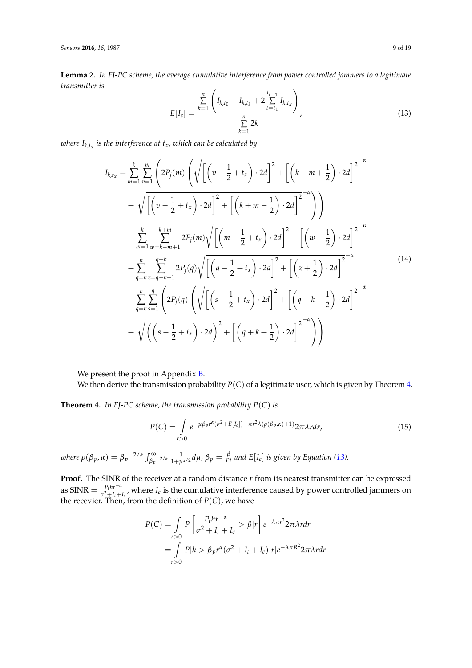<span id="page-8-3"></span>**Lemma 2.** *In FJ-PC scheme, the average cumulative interference from power controlled jammers to a legitimate transmitter is* .<br>'

<span id="page-8-1"></span>
$$
E[I_c] = \frac{\sum_{k=1}^{n} \left( I_{k,t_0} + I_{k,t_k} + 2 \sum_{t=t_1}^{t_{k-1}} I_{k,t_x} \right)}{\sum_{k=1}^{n} 2k}, \qquad (13)
$$

*where Ik*,*t<sup>x</sup> is the interference at tx, which can be calculated by*

<span id="page-8-4"></span>
$$
I_{k,t_x} = \sum_{m=1}^{k} \sum_{v=1}^{m} \left( 2P_j(m) \left( \sqrt{\left[ \left( v - \frac{1}{2} + t_x \right) \cdot 2d \right]^2 + \left[ \left( k - m + \frac{1}{2} \right) \cdot 2d \right]^2} + \sqrt{\left[ \left( v - \frac{1}{2} + t_x \right) \cdot 2d \right]^2 + \left[ \left( k + m - \frac{1}{2} \right) \cdot 2d \right]^2} - \sqrt{\left[ \left( v - \frac{1}{2} + t_x \right) \cdot 2d \right]^2 + \left[ \left( k + m - \frac{1}{2} \right) \cdot 2d \right]^2} - \sqrt{\left[ \left( m - \frac{1}{2} + t_x \right) \cdot 2d \right]^2 + \left[ \left( w - \frac{1}{2} \right) \cdot 2d \right]^2} - \sqrt{\left[ \left( k + \frac{1}{2} + t_x \right) \cdot 2d \right]^2 + \left[ \left( k - \frac{1}{2} \right) \cdot 2d \right]^2} - \sqrt{\left[ \left( q - \frac{1}{2} + t_x \right) \cdot 2d \right]^2 + \left[ \left( z + \frac{1}{2} \right) \cdot 2d \right]^2} - \sqrt{\left[ \left( s - \frac{1}{2} + t_x \right) \cdot 2d \right]^2 + \left[ \left( q - k - \frac{1}{2} \right) \cdot 2d \right]^2} - \sqrt{\left( \left( s - \frac{1}{2} + t_x \right) \cdot 2d \right)^2 + \left[ \left( q - k - \frac{1}{2} \right) \cdot 2d \right]^2} - \sqrt{\left( \left( s - \frac{1}{2} + t_x \right) \cdot 2d \right)^2 + \left[ \left( q + k + \frac{1}{2} \right) \cdot 2d \right]^2} - \sqrt{\left( s - \frac{1}{2} + t_x \right) \cdot 2d} - \sqrt{\left( s - \frac{1}{2} + t_x \right) \cdot 2d} - \sqrt{\left( s - \frac{1}{2} + t_x \right) \cdot 2d} - \sqrt{\left( s - \frac{1}{2} + t_x \right) \cdot 2d} - \sqrt{\left( s - \frac{1}{2} + t_x \right) \cdot 2d} - \sqrt{\left( s - \frac{1}{2} +
$$

We present the proof in Appendix **B**.

We then derive the transmission probability *P*(*C*) of a legitimate user, which is given by Theorem [4.](#page-8-0)

<span id="page-8-0"></span>**Theorem 4.** *In FJ-PC scheme, the transmission probability P*(*C*) *is*

<span id="page-8-2"></span>
$$
P(C) = \int_{r>0} e^{-\mu\beta_p r^{\alpha}(\sigma^2 + E[I_c]) - \pi r^2 \lambda(\rho(\beta_p, \alpha) + 1)} 2\pi \lambda r dr,
$$
\n(15)

where  $\rho(\beta_p,\alpha)=\beta_p-2/\alpha\int_{\beta_p-2/\alpha}^\infty\frac{1}{1+\mu^{\alpha/2}}d\mu$ ,  $\beta_p=\frac{\beta}{Pt}$  and  $E[I_c]$  is given by Equation [\(13\)](#page-8-1).

**Proof.** The SINR of the receiver at a random distance *r* from its nearest transmitter can be expressed  $\text{as SINR} = \frac{P_t h r^{-\alpha}}{a^2 + L + L}$  $\frac{P_t n r}{\sigma^2 + I_t + I_c}$ , where *I<sub>c</sub>* is the cumulative interference caused by power controlled jammers on the recevier. Then, from the definition of  $P(C)$ , we have

$$
P(C) = \int_{r>0} P\left[\frac{P_t hr^{-\alpha}}{\sigma^2 + I_t + I_c} > \beta |r\right] e^{-\lambda \pi r^2} 2\pi \lambda r dr
$$
  
= 
$$
\int_{r>0} P[h > \beta_p r^{\alpha} (\sigma^2 + I_t + I_c) |r] e^{-\lambda \pi R^2} 2\pi \lambda r dr.
$$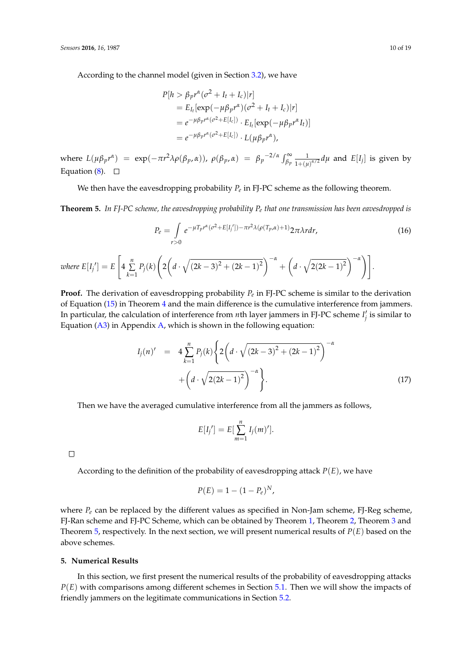According to the channel model (given in Section [3.2\)](#page-3-0), we have

$$
P[h > \beta_p r^{\alpha} (\sigma^2 + I_t + I_c)|r]
$$
  
=  $E_{I_t} [\exp(-\mu \beta_p r^{\alpha})(\sigma^2 + I_t + I_c)|r]$   
=  $e^{-\mu \beta_p r^{\alpha} (\sigma^2 + E[I_c])} \cdot E_{I_t} [\exp(-\mu \beta_p r^{\alpha} I_t)]$   
=  $e^{-\mu \beta_p r^{\alpha} (\sigma^2 + E[I_c])} \cdot L(\mu \beta_p r^{\alpha}),$ 

where  $L(\mu \beta_p r^{\alpha}) = \exp(-\pi r^2 \lambda \rho(\beta_p, \alpha))$ ,  $\rho(\beta_p, \alpha) = \beta_p^{-2/\alpha} \int_{\beta_p}^{\infty}$ 1  $\frac{1}{1+(\mu)^{\alpha/2}}d\mu$  and  $E[I_j]$  is given by Equation  $(8)$ .  $\Box$ 

We then have the eavesdropping probability  $P_e$  in FJ-PC scheme as the following theorem.

<span id="page-9-1"></span>**Theorem 5.** *In FJ-PC scheme, the eavesdropping probability P<sup>e</sup> that one transmission has been eavesdropped is*

$$
P_e = \int_{r>0} e^{-\mu T_p r^{\alpha} (\sigma^2 + E[I_j']) - \pi r^2 \lambda (\rho (T_p, \alpha) + 1)} 2\pi \lambda r dr,
$$
 (16)

where 
$$
E[I_j'] = E\left[4\sum_{k=1}^n P_j(k)\left(2\left(d\cdot\sqrt{(2k-3)^2 + (2k-1)^2}\right)^{-\alpha} + \left(d\cdot\sqrt{2(2k-1)^2}\right)^{-\alpha}\right)\right].
$$

**Proof.** The derivation of eavesdropping probability *P<sup>e</sup>* in FJ-PC scheme is similar to the derivation of Equation [\(15\)](#page-8-2) in Theorem [4](#page-8-0) and the main difference is the cumulative interference from jammers. In particular, the calculation of interference from *n*th layer jammers in FJ-PC scheme  $I'_j$  is similar to Equation [\(A3\)](#page-14-1) in Appendix [A,](#page-13-1) which is shown in the following equation:

$$
I_j(n)' = 4 \sum_{k=1}^n P_j(k) \left\{ 2 \left( d \cdot \sqrt{(2k-3)^2 + (2k-1)^2} \right)^{-\alpha} + \left( d \cdot \sqrt{2(2k-1)^2} \right)^{-\alpha} \right\}.
$$
\n(17)

Then we have the averaged cumulative interference from all the jammers as follows,

$$
E[I_j'] = E[\sum_{m=1}^n I_j(m)'].
$$

 $\Box$ 

According to the definition of the probability of eavesdropping attack  $P(E)$ , we have

$$
P(E) = 1 - (1 - P_e)^N,
$$

where  $P_e$  can be replaced by the different values as specified in Non-Jam scheme, FJ-Reg scheme, FJ-Ran scheme and FJ-PC Scheme, which can be obtained by Theorem [1,](#page-4-3) Theorem [2,](#page-6-2) Theorem [3](#page-7-0) and Theorem [5,](#page-9-1) respectively. In the next section, we will present numerical results of *P*(*E*) based on the above schemes.

# <span id="page-9-0"></span>**5. Numerical Results**

In this section, we first present the numerical results of the probability of eavesdropping attacks *P*(*E*) with comparisons among different schemes in Section [5.1.](#page-10-0) Then we will show the impacts of friendly jammers on the legitimate communications in Section [5.2.](#page-11-0)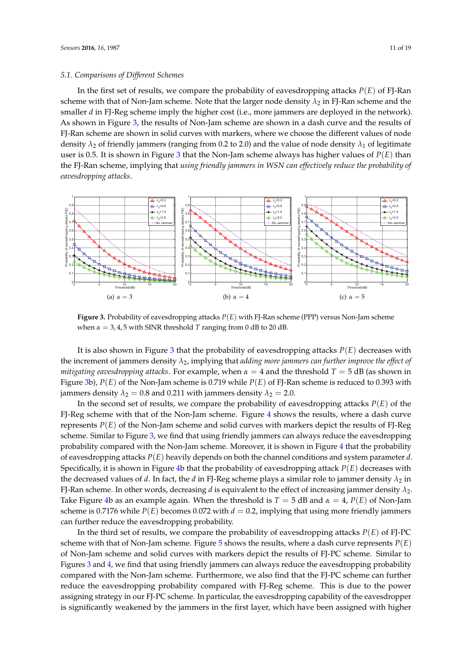<span id="page-10-0"></span>In the first set of results, we compare the probability of eavesdropping attacks *P*(*E*) of FJ-Ran scheme with that of Non-Jam scheme. Note that the larger node density  $\lambda_2$  in FJ-Ran scheme and the smaller *d* in FJ-Reg scheme imply the higher cost (i.e., more jammers are deployed in the network). As shown in Figure [3,](#page-10-1) the results of Non-Jam scheme are shown in a dash curve and the results of FJ-Ran scheme are shown in solid curves with markers, where we choose the different values of node density  $\lambda_2$  of friendly jammers (ranging from 0.2 to 2.0) and the value of node density  $\lambda_1$  of legitimate user is 0.5. It is shown in Figure [3](#page-10-1) that the Non-Jam scheme always has higher values of *P*(*E*) than the FJ-Ran scheme, implying that *using friendly jammers in WSN can effectively reduce the probability of eavesdropping attacks*.

<span id="page-10-1"></span>

**Figure 3.** Probability of eavesdropping attacks *P*(*E*) with FJ-Ran scheme (PPP) versus Non-Jam scheme when  $\alpha = 3, 4, 5$  with SINR threshold *T* ranging from 0 dB to 20 dB.

It is also shown in Figure [3](#page-10-1) that the probability of eavesdropping attacks *P*(*E*) decreases with the increment of jammers density *λ*2, implying that *adding more jammers can further improve the effect of mitigating eavesdropping attacks.* For example, when  $\alpha = 4$  and the threshold  $T = 5$  dB (as shown in Figure [3b](#page-10-1)), *P*(*E*) of the Non-Jam scheme is 0.719 while *P*(*E*) of FJ-Ran scheme is reduced to 0.393 with jammers density  $\lambda_2 = 0.8$  and 0.211 with jammers density  $\lambda_2 = 2.0$ .

In the second set of results, we compare the probability of eavesdropping attacks  $P(E)$  of the FJ-Reg scheme with that of the Non-Jam scheme. Figure [4](#page-11-1) shows the results, where a dash curve represents *P*(*E*) of the Non-Jam scheme and solid curves with markers depict the results of FJ-Reg scheme. Similar to Figure [3,](#page-10-1) we find that using friendly jammers can always reduce the eavesdropping probability compared with the Non-Jam scheme. Moreover, it is shown in Figure [4](#page-11-1) that the probability of eavesdropping attacks *P*(*E*) heavily depends on both the channel conditions and system parameter *d*. Specifically, it is shown in Figure [4b](#page-11-1) that the probability of eavesdropping attack *P*(*E*) decreases with the decreased values of *d*. In fact, the *d* in FJ-Reg scheme plays a similar role to jammer density  $\lambda_2$  in FJ-Ran scheme. In other words, decreasing *d* is equivalent to the effect of increasing jammer density *λ*2. Take Figure [4b](#page-11-1) as an example again. When the threshold is  $T = 5$  dB and  $\alpha = 4$ ,  $P(E)$  of Non-Jam scheme is 0.7176 while  $P(E)$  becomes 0.072 with  $d = 0.2$ , implying that using more friendly jammers can further reduce the eavesdropping probability.

In the third set of results, we compare the probability of eavesdropping attacks *P*(*E*) of FJ-PC scheme with that of Non-Jam scheme. Figure [5](#page-11-2) shows the results, where a dash curve represents  $P(E)$ of Non-Jam scheme and solid curves with markers depict the results of FJ-PC scheme. Similar to Figures [3](#page-10-1) and [4,](#page-11-1) we find that using friendly jammers can always reduce the eavesdropping probability compared with the Non-Jam scheme. Furthermore, we also find that the FJ-PC scheme can further reduce the eavesdropping probability compared with FJ-Reg scheme. This is due to the power assigning strategy in our FJ-PC scheme. In particular, the eavesdropping capability of the eavesdropper is significantly weakened by the jammers in the first layer, which have been assigned with higher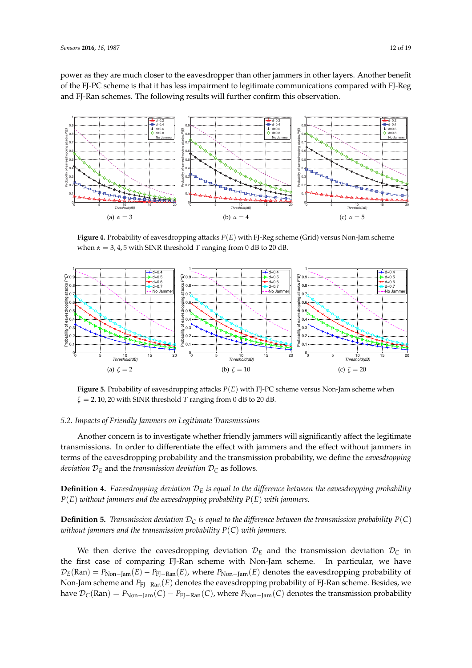power as they are much closer to the eavesdropper than other jammers in other layers. Another benefit of the FJ-PC scheme is that it has less impairment to legitimate communications compared with FJ-Reg and FJ-Ran schemes. The following results will further confirm this observation.

<span id="page-11-1"></span>

**Figure 4.** Probability of eavesdropping attacks *P*(*E*) with FJ-Reg scheme (Grid) versus Non-Jam scheme when  $\alpha = 3, 4, 5$  with SINR threshold *T* ranging from 0 dB to 20 dB.

<span id="page-11-2"></span>

**Figure 5.** Probability of eavesdropping attacks *P*(*E*) with FJ-PC scheme versus Non-Jam scheme when *ζ* = 2, 10, 20 with SINR threshold *T* ranging from 0 dB to 20 dB.

# <span id="page-11-0"></span>*5.2. Impacts of Friendly Jammers on Legitimate Transmissions*

Another concern is to investigate whether friendly jammers will significantly affect the legitimate transmissions. In order to differentiate the effect with jammers and the effect without jammers in terms of the eavesdropping probability and the transmission probability, we define the *eavesdropping deviation*  $\mathcal{D}_E$  and the *transmission deviation*  $\mathcal{D}_C$  as follows.

**Definition 4.** *Eavesdropping deviation* D*<sup>E</sup> is equal to the difference between the eavesdropping probability P*(*E*) *without jammers and the eavesdropping probability P*(*E*) *with jammers.*

**Definition 5.** *Transmission deviation*  $D_C$  *is equal to the difference between the transmission probability*  $P(C)$ *without jammers and the transmission probability P*(*C*) *with jammers.*

We then derive the eavesdropping deviation  $\mathcal{D}_E$  and the transmission deviation  $\mathcal{D}_C$  in the first case of comparing FJ-Ran scheme with Non-Jam scheme. In particular, we have  $\mathcal{D}_E(\text{Ran}) = P_{\text{Non-Iam}}(E) - P_{\text{FI-Ran}}(E)$ , where  $P_{\text{Non-Iam}}(E)$  denotes the eavesdropping probability of Non-Jam scheme and *P*<sub>FJ−Ran</sub>(*E*) denotes the eavesdropping probability of FJ-Ran scheme. Besides, we have  $\mathcal{D}_C(Ran) = P_{Non-Jam}(C) - P_{FI-Ran}(C)$ , where  $P_{Non-Jam}(C)$  denotes the transmission probability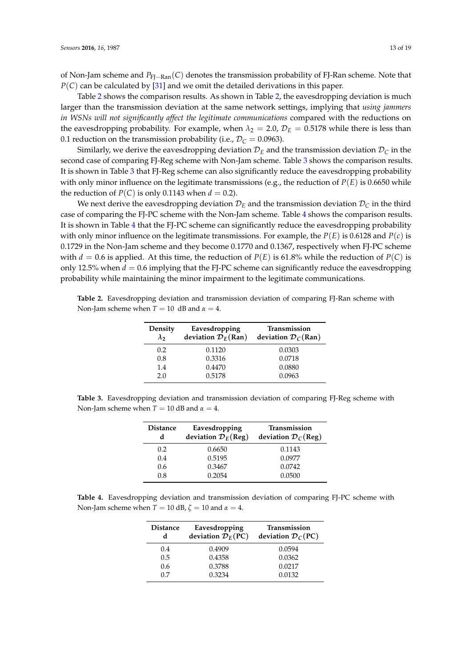of Non-Jam scheme and *P*FJ−Ran(*C*) denotes the transmission probability of FJ-Ran scheme. Note that *P*(*C*) can be calculated by [\[31\]](#page-18-6) and we omit the detailed derivations in this paper.

Table [2](#page-12-0) shows the comparison results. As shown in Table [2,](#page-12-0) the eavesdropping deviation is much larger than the transmission deviation at the same network settings, implying that *using jammers in WSNs will not significantly affect the legitimate communications* compared with the reductions on the eavesdropping probability. For example, when  $\lambda_2 = 2.0$ ,  $\mathcal{D}_E = 0.5178$  while there is less than 0.1 reduction on the transmission probability (i.e.,  $\mathcal{D}_C = 0.0963$ ).

Similarly, we derive the eavesdropping deviation  $\mathcal{D}_E$  and the transmission deviation  $\mathcal{D}_C$  in the second case of comparing FJ-Reg scheme with Non-Jam scheme. Table [3](#page-12-1) shows the comparison results. It is shown in Table [3](#page-12-1) that FJ-Reg scheme can also significantly reduce the eavesdropping probability with only minor influence on the legitimate transmissions (e.g., the reduction of *P*(*E*) is 0.6650 while the reduction of  $P(C)$  is only 0.1143 when  $d = 0.2$ ).

We next derive the eavesdropping deviation  $\mathcal{D}_E$  and the transmission deviation  $\mathcal{D}_C$  in the third case of comparing the FJ-PC scheme with the Non-Jam scheme. Table [4](#page-12-2) shows the comparison results. It is shown in Table [4](#page-12-2) that the FJ-PC scheme can significantly reduce the eavesdropping probability with only minor influence on the legitimate transmissions. For example, the *P*(*E*) is 0.6128 and *P*(*c*) is 0.1729 in the Non-Jam scheme and they become 0.1770 and 0.1367, respectively when FJ-PC scheme with  $d = 0.6$  is applied. At this time, the reduction of  $P(E)$  is 61.8% while the reduction of  $P(C)$  is only 12.5% when  $d = 0.6$  implying that the FJ-PC scheme can significantly reduce the eavesdropping probability while maintaining the minor impairment to the legitimate communications.

<span id="page-12-0"></span>**Table 2.** Eavesdropping deviation and transmission deviation of comparing FJ-Ran scheme with Non-Jam scheme when  $T = 10$  dB and  $\alpha = 4$ .

| Density<br>$\lambda$ | Eavesdropping<br>deviation $\mathcal{D}_E(Ran)$ | <b>Transmission</b><br>deviation $\mathcal{D}_C(\text{Ran})$ |
|----------------------|-------------------------------------------------|--------------------------------------------------------------|
| 0.2                  | 0.1120                                          | 0.0303                                                       |
| 0.8                  | 0.3316                                          | 0.0718                                                       |
| 1.4                  | 0.4470                                          | 0.0880                                                       |
| 2.0                  | 0.5178                                          | 0.0963                                                       |

<span id="page-12-1"></span>Table 3. Eavesdropping deviation and transmission deviation of comparing FJ-Reg scheme with Non-Jam scheme when  $T = 10$  dB and  $\alpha = 4$ .

| <b>Distance</b><br>d | Eavesdropping<br>deviation $\mathcal{D}_E$ (Reg) | Transmission<br>deviation $\mathcal{D}_C(\text{Reg})$ |
|----------------------|--------------------------------------------------|-------------------------------------------------------|
| 0.2                  | 0.6650                                           | 0.1143                                                |
| 0.4                  | 0.5195                                           | 0.0977                                                |
| 0.6                  | 0.3467                                           | 0.0742                                                |
| 0.8                  | 0.2054                                           | 0.0500                                                |

<span id="page-12-2"></span>**Table 4.** Eavesdropping deviation and transmission deviation of comparing FJ-PC scheme with Non-Jam scheme when  $T = 10$  dB,  $\zeta = 10$  and  $\alpha = 4$ .

| <b>Distance</b><br>d | Eavesdropping<br>deviation $\mathcal{D}_E(PC)$ | Transmission<br>deviation $\mathcal{D}_C(PC)$ |
|----------------------|------------------------------------------------|-----------------------------------------------|
| 0.4                  | 0.4909                                         | 0.0594                                        |
| 0.5                  | 0.4358                                         | 0.0362                                        |
| 0.6                  | 0.3788                                         | 0.0217                                        |
| በ 7                  | 0.3234                                         | 0.0132                                        |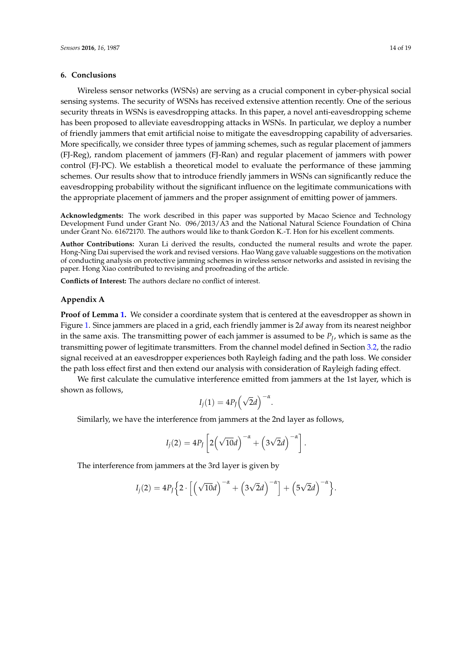# <span id="page-13-0"></span>**6. Conclusions**

Wireless sensor networks (WSNs) are serving as a crucial component in cyber-physical social sensing systems. The security of WSNs has received extensive attention recently. One of the serious security threats in WSNs is eavesdropping attacks. In this paper, a novel anti-eavesdropping scheme has been proposed to alleviate eavesdropping attacks in WSNs. In particular, we deploy a number of friendly jammers that emit artificial noise to mitigate the eavesdropping capability of adversaries. More specifically, we consider three types of jamming schemes, such as regular placement of jammers (FJ-Reg), random placement of jammers (FJ-Ran) and regular placement of jammers with power control (FJ-PC). We establish a theoretical model to evaluate the performance of these jamming schemes. Our results show that to introduce friendly jammers in WSNs can significantly reduce the eavesdropping probability without the significant influence on the legitimate communications with the appropriate placement of jammers and the proper assignment of emitting power of jammers.

**Acknowledgments:** The work described in this paper was supported by Macao Science and Technology Development Fund under Grant No. 096/2013/A3 and the National Natural Science Foundation of China under Grant No. 61672170. The authors would like to thank Gordon K.-T. Hon for his excellent comments.

**Author Contributions:** Xuran Li derived the results, conducted the numeral results and wrote the paper. Hong-Ning Dai supervised the work and revised versions. Hao Wang gave valuable suggestions on the motivation of conducting analysis on protective jamming schemes in wireless sensor networks and assisted in revising the paper. Hong Xiao contributed to revising and proofreading of the article.

**Conflicts of Interest:** The authors declare no conflict of interest.

# <span id="page-13-1"></span>**Appendix A**

**Proof of Lemma [1.](#page-6-1)** We consider a coordinate system that is centered at the eavesdropper as shown in Figure [1.](#page-3-1) Since jammers are placed in a grid, each friendly jammer is 2*d* away from its nearest neighbor in the same axis. The transmitting power of each jammer is assumed to be *P<sup>J</sup>* , which is same as the transmitting power of legitimate transmitters. From the channel model defined in Section [3.2,](#page-3-0) the radio signal received at an eavesdropper experiences both Rayleigh fading and the path loss. We consider the path loss effect first and then extend our analysis with consideration of Rayleigh fading effect.

We first calculate the cumulative interference emitted from jammers at the 1st layer, which is shown as follows,

$$
I_j(1) = 4P_J(\sqrt{2}d)^{-\alpha}
$$

.

Similarly, we have the interference from jammers at the 2nd layer as follows,

$$
I_j(2) = 4P_J\left[2\left(\sqrt{10}d\right)^{-\alpha} + \left(3\sqrt{2}d\right)^{-\alpha}\right].
$$

The interference from jammers at the 3rd layer is given by

$$
I_j(2) = 4P_J\Big\{2\cdot\Big[\Big(\sqrt{10}d\Big)^{-\alpha}+\Big(3\sqrt{2}d\Big)^{-\alpha}\Big]+ \Big(5\sqrt{2}d\Big)^{-\alpha}\Big\}.
$$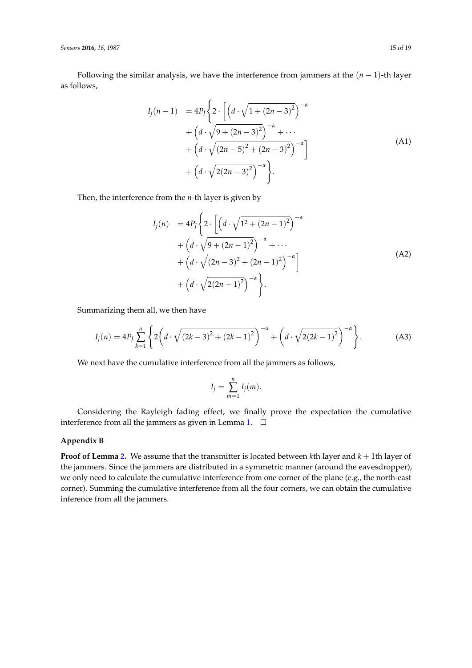Following the similar analysis, we have the interference from jammers at the (*n* − 1)-th layer as follows,

$$
I_j(n-1) = 4P_j \left\{ 2 \cdot \left[ \left( d \cdot \sqrt{1 + (2n-3)^2} \right)^{-\alpha} + \left( d \cdot \sqrt{9 + (2n-3)^2} \right)^{-\alpha} + \cdots + \left( d \cdot \sqrt{(2n-5)^2 + (2n-3)^2} \right)^{-\alpha} \right] + \left( d \cdot \sqrt{2(2n-3)^2} \right)^{-\alpha} \right\}.
$$
\n(A1)

Then, the interference from the *n*-th layer is given by

$$
I_j(n) = 4P_j \left\{ 2 \cdot \left[ \left( d \cdot \sqrt{1^2 + (2n - 1)^2} \right)^{-\alpha} + \left( d \cdot \sqrt{9 + (2n - 1)^2} \right)^{-\alpha} + \cdots + \left( d \cdot \sqrt{(2n - 3)^2 + (2n - 1)^2} \right)^{-\alpha} \right] + \left( d \cdot \sqrt{2(2n - 1)^2} \right)^{-\alpha} \right\}.
$$
\n(A2)

Summarizing them all, we then have

<span id="page-14-1"></span>
$$
I_j(n) = 4P_J \sum_{k=1}^n \left\{ 2\left(d \cdot \sqrt{(2k-3)^2 + (2k-1)^2}\right)^{-\alpha} + \left(d \cdot \sqrt{2(2k-1)^2}\right)^{-\alpha} \right\}.
$$
 (A3)

We next have the cumulative interference from all the jammers as follows,

$$
I_j = \sum_{m=1}^n I_j(m).
$$

Considering the Rayleigh fading effect, we finally prove the expectation the cumulative interference from all the jammers as given in Lemma [1.](#page-6-1)  $\square$ 

# <span id="page-14-0"></span>**Appendix B**

**Proof of Lemma [2.](#page-8-3)** We assume that the transmitter is located between *k*th layer and *k* + 1th layer of the jammers. Since the jammers are distributed in a symmetric manner (around the eavesdropper), we only need to calculate the cumulative interference from one corner of the plane (e.g., the north-east corner). Summing the cumulative interference from all the four corners, we can obtain the cumulative inference from all the jammers.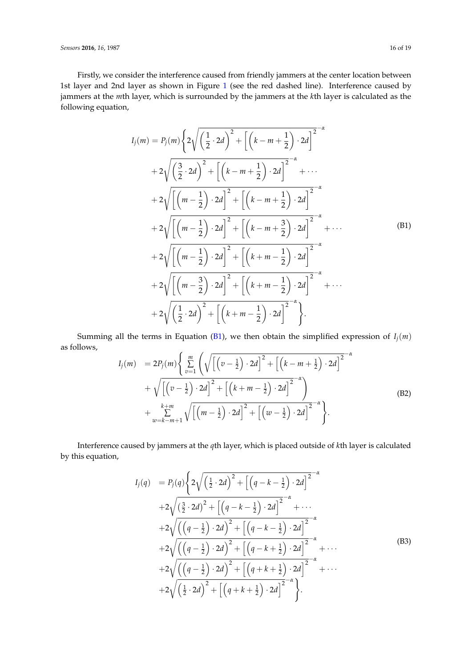*Sensors* **2016**, *16*, 1987 16 of 19

Firstly, we consider the interference caused from friendly jammers at the center location between 1st layer and 2nd layer as shown in Figure [1](#page-3-1) (see the red dashed line). Interference caused by jammers at the *m*th layer, which is surrounded by the jammers at the *k*th layer is calculated as the following equation,

<span id="page-15-0"></span>
$$
I_{j}(m) = P_{j}(m) \left\{ 2\sqrt{\left(\frac{1}{2} \cdot 2d\right)^{2} + \left[\left(k - m + \frac{1}{2}\right) \cdot 2d\right]^{2}} - \alpha + 2\sqrt{\left(\frac{3}{2} \cdot 2d\right)^{2} + \left[\left(k - m + \frac{1}{2}\right) \cdot 2d\right]^{2}} + \cdots + 2\sqrt{\left[\left(m - \frac{1}{2}\right) \cdot 2d\right]^{2} + \left[\left(k - m + \frac{1}{2}\right) \cdot 2d\right]^{2}} - \alpha + 2\sqrt{\left[\left(m - \frac{1}{2}\right) \cdot 2d\right]^{2} + \left[\left(k - m + \frac{3}{2}\right) \cdot 2d\right]^{2}} - \alpha + 2\sqrt{\left[\left(m - \frac{1}{2}\right) \cdot 2d\right]^{2} + \left[\left(k + m - \frac{1}{2}\right) \cdot 2d\right]^{2}} - \alpha + 2\sqrt{\left[\left(m - \frac{3}{2}\right) \cdot 2d\right]^{2} + \left[\left(k + m - \frac{1}{2}\right) \cdot 2d\right]^{2}} - \alpha + 2\sqrt{\left[\left(m - \frac{3}{2}\right) \cdot 2d\right]^{2} + \left[\left(k + m - \frac{1}{2}\right) \cdot 2d\right]^{2}} - \alpha + 2\sqrt{\left(\frac{1}{2} \cdot 2d\right)^{2} + \left[\left(k + m - \frac{1}{2}\right) \cdot 2d\right]^{2}} - \alpha + 2\sqrt{\left(\frac{1}{2} \cdot 2d\right)^{2} + \left[\left(k + m - \frac{1}{2}\right) \cdot 2d\right]^{2}}.
$$
\n(B1)

Summing all the terms in Equation [\(B1\)](#page-15-0), we then obtain the simplified expression of  $I_i(m)$ as follows,

<span id="page-15-2"></span>
$$
I_j(m) = 2P_j(m)\left\{\sum_{v=1}^m \left(\sqrt{\left[\left(v-\frac{1}{2}\right)\cdot 2d\right]^2 + \left[\left(k-m+\frac{1}{2}\right)\cdot 2d\right]^2} - \sqrt{\left[\left(v-\frac{1}{2}\right)\cdot 2d\right]^2 + \left[\left(k+m-\frac{1}{2}\right)\cdot 2d\right]^2}\right.\right.+ \sqrt{\left[\left(v-\frac{1}{2}\right)\cdot 2d\right]^2 + \left[\left(k+m-\frac{1}{2}\right)\cdot 2d\right]^2}\right\}.
$$
\n(B2)

Interference caused by jammers at the *q*th layer, which is placed outside of *k*th layer is calculated by this equation,

<span id="page-15-1"></span>
$$
I_{j}(q) = P_{j}(q)\left\{2\sqrt{\left(\frac{1}{2}\cdot 2d\right)^{2} + \left[\left(q-k-\frac{1}{2}\right)\cdot 2d\right]^{2}} - \alpha + 2\sqrt{\left(\frac{3}{2}\cdot 2d\right)^{2} + \left[\left(q-k-\frac{1}{2}\right)\cdot 2d\right]^{2}} - \alpha + 2\sqrt{\left(\left(q-\frac{1}{2}\right)\cdot 2d\right)^{2} + \left[\left(q-k-\frac{1}{2}\right)\cdot 2d\right]^{2}} - \alpha + 2\sqrt{\left(\left(q-\frac{1}{2}\right)\cdot 2d\right)^{2} + \left[\left(q-k+\frac{1}{2}\right)\cdot 2d\right]^{2}} - \alpha + 2\sqrt{\left(\left(q-\frac{1}{2}\right)\cdot 2d\right)^{2} + \left[\left(q+k+\frac{1}{2}\right)\cdot 2d\right]^{2}} - \alpha + 2\sqrt{\left(\frac{1}{2}\cdot 2d\right)^{2} + \left[\left(q+k+\frac{1}{2}\right)\cdot 2d\right]^{2}} - \alpha + 2\sqrt{\left(\frac{1}{2}\cdot 2d\right)^{2} + \left[\left(q+k+\frac{1}{2}\right)\cdot 2d\right]^{2}} - \alpha + 2\sqrt{\left(\frac{1}{2}\cdot 2d\right)^{2} + \left[\left(q+k+\frac{1}{2}\right)\cdot 2d\right]^{2}}.
$$
\n(B3)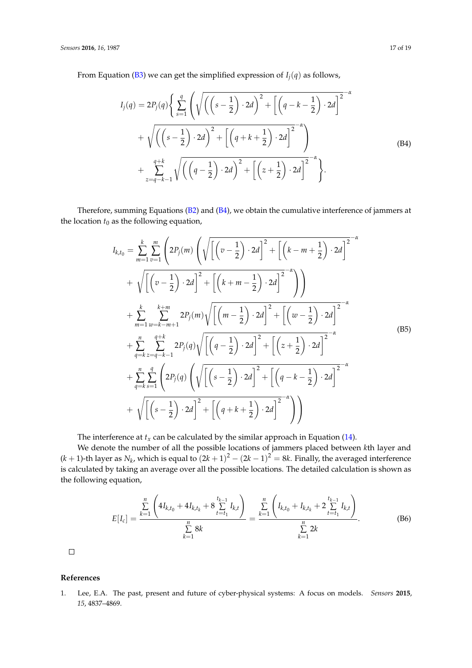From Equation [\(B3\)](#page-15-1) we can get the simplified expression of  $I_i(q)$  as follows,

<span id="page-16-1"></span>
$$
I_j(q) = 2P_j(q)\left\{\sum_{s=1}^q \left(\sqrt{\left(\left(s-\frac{1}{2}\right) \cdot 2d\right)^2 + \left[\left(q-k-\frac{1}{2}\right) \cdot 2d\right]^2} - \sqrt{\left(\left(s-\frac{1}{2}\right) \cdot 2d\right)^2 + \left[\left(q+k+\frac{1}{2}\right) \cdot 2d\right]^2} - \sqrt{\left(\left(s-\frac{1}{2}\right) \cdot 2d\right)^2 + \left[\left(q+k+\frac{1}{2}\right) \cdot 2d\right]^2} - \sqrt{\left(\left(q-\frac{1}{2}\right) \cdot 2d\right)^2 + \left[\left(z+\frac{1}{2}\right) \cdot 2d\right]^2} - \alpha\right\}
$$
\n(B4)

Therefore, summing Equations [\(B2\)](#page-15-2) and [\(B4\)](#page-16-1), we obtain the cumulative interference of jammers at the location  $t_0$  as the following equation,

$$
I_{k,t_0} = \sum_{m=1}^{k} \sum_{v=1}^{m} \left( 2P_j(m) \left( \sqrt{\left[ \left( v - \frac{1}{2} \right) \cdot 2d \right]^2 + \left[ \left( k - m + \frac{1}{2} \right) \cdot 2d \right]^2} + \sqrt{\left[ \left( v - \frac{1}{2} \right) \cdot 2d \right]^2 + \left[ \left( k + m - \frac{1}{2} \right) \cdot 2d \right]^2} - \sqrt{\left[ \left( v - \frac{1}{2} \right) \cdot 2d \right]^2 + \left[ \left( k + m - \frac{1}{2} \right) \cdot 2d \right]^2} - \sqrt{\left[ \left( m - \frac{1}{2} \right) \cdot 2d \right]^2 + \left[ \left( w - \frac{1}{2} \right) \cdot 2d \right]^2} - \sqrt{\left[ \left( k + \frac{1}{2} \right) \cdot 2d \right]^2 + \left[ \left( k - \frac{1}{2} \right) \cdot 2d \right]^2} - \sqrt{\left[ \left( q - \frac{1}{2} \right) \cdot 2d \right]^2 + \left[ \left( z + \frac{1}{2} \right) \cdot 2d \right]^2} - \sqrt{\left[ \left( q - \frac{1}{2} \right) \cdot 2d \right]^2 + \left[ \left( q - k - \frac{1}{2} \right) \cdot 2d \right]^2} - \sqrt{\left[ \left( s - \frac{1}{2} \right) \cdot 2d \right]^2 + \left[ \left( q - k - \frac{1}{2} \right) \cdot 2d \right]^2} - \sqrt{\left[ \left( s - \frac{1}{2} \right) \cdot 2d \right]^2 + \left[ \left( q + k + \frac{1}{2} \right) \cdot 2d \right]^2} - \sqrt{\left[ \left( s - \frac{1}{2} \right) \cdot 2d \right]^2 + \left[ \left( q + k + \frac{1}{2} \right) \cdot 2d \right]^2} - \sqrt{\left[ \left( s - \frac{1}{2} \right) \cdot 2d \right]^2} - \sqrt{\left[ \left( s - \frac{1}{2} \right) \cdot 2d \right]^2} - \sqrt{\left[ \left( s - \frac{1}{2} \right) \cdot 2d \right]^2} - \sqrt{\left[ \left( s - \frac{1}{2} \right) \cdot
$$

The interference at  $t_x$  can be calculated by the similar approach in Equation [\(14\)](#page-8-4).

We denote the number of all the possible locations of jammers placed between *k*th layer and  $(k+1)$ -th layer as  $N_k$ , which is equal to  $(2k+1)^2 - (2k-1)^2 = 8k$ . Finally, the averaged interference is calculated by taking an average over all the possible locations. The detailed calculation is shown as the following equation,

$$
E[I_c] = \frac{\sum\limits_{k=1}^{n} \left( 4I_{k,t_0} + 4I_{k,t_k} + 8\sum\limits_{t=t_1}^{t_{k-1}} I_{k,t} \right)}{\sum\limits_{k=1}^{n} 8k} = \frac{\sum\limits_{k=1}^{n} \left( I_{k,t_0} + I_{k,t_k} + 2\sum\limits_{t=t_1}^{t_{k-1}} I_{k,t} \right)}{\sum\limits_{k=1}^{n} 2k}.
$$
 (B6)

 $\Box$ 

# **References**

<span id="page-16-0"></span>1. Lee, E.A. The past, present and future of cyber-physical systems: A focus on models. *Sensors* **2015**, *15*, 4837–4869.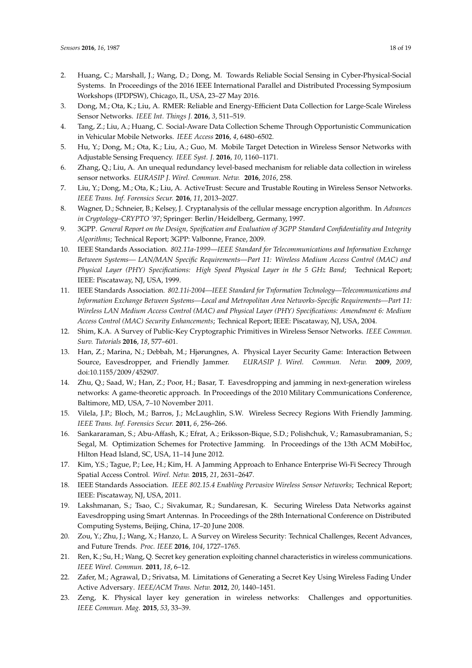- 2. Huang, C.; Marshall, J.; Wang, D.; Dong, M. Towards Reliable Social Sensing in Cyber-Physical-Social Systems. In Proceedings of the 2016 IEEE International Parallel and Distributed Processing Symposium Workshops (IPDPSW), Chicago, IL, USA, 23–27 May 2016.
- 3. Dong, M.; Ota, K.; Liu, A. RMER: Reliable and Energy-Efficient Data Collection for Large-Scale Wireless Sensor Networks. *IEEE Int. Things J.* **2016**, *3*, 511–519.
- <span id="page-17-0"></span>4. Tang, Z.; Liu, A.; Huang, C. Social-Aware Data Collection Scheme Through Opportunistic Communication in Vehicular Mobile Networks. *IEEE Access* **2016**, *4*, 6480–6502.
- <span id="page-17-1"></span>5. Hu, Y.; Dong, M.; Ota, K.; Liu, A.; Guo, M. Mobile Target Detection in Wireless Sensor Networks with Adjustable Sensing Frequency. *IEEE Syst. J.* **2016**, *10*, 1160–1171.
- <span id="page-17-2"></span>6. Zhang, Q.; Liu, A. An unequal redundancy level-based mechanism for reliable data collection in wireless sensor networks. *EURASIP J. Wirel. Commun. Netw.* **2016**, *2016*, 258.
- <span id="page-17-3"></span>7. Liu, Y.; Dong, M.; Ota, K.; Liu, A. ActiveTrust: Secure and Trustable Routing in Wireless Sensor Networks. *IEEE Trans. Inf. Forensics Secur.* **2016**, *11*, 2013–2027.
- <span id="page-17-4"></span>8. Wagner, D.; Schneier, B.; Kelsey, J. Cryptanalysis of the cellular message encryption algorithm. In *Advances in Cryptology–CRYPTO '97*; Springer: Berlin/Heidelberg, Germany, 1997.
- <span id="page-17-5"></span>9. 3GPP. *General Report on the Design, Speification and Evaluation of 3GPP Standard Confidentiality and Integrity Algorithms*; Technical Report; 3GPP: Valbonne, France, 2009.
- <span id="page-17-6"></span>10. IEEE Standards Association. *802.11a-1999—IEEE Standard for Telecommunications and Information Exchange Between Systems— LAN/MAN Specific Requirements—Part 11: Wireless Medium Access Control (MAC) and Physical Layer (PHY) Specifications: High Speed Physical Layer in the 5 GHz Band*; Technical Report; IEEE: Piscataway, NJ, USA, 1999.
- <span id="page-17-7"></span>11. IEEE Standards Association. *802.11i-2004—IEEE Standard for Tnformation Technology—Telecommunications and Information Exchange Between Systems—Local and Metropolitan Area Networks-Specific Requirements—Part 11: Wireless LAN Medium Access Control (MAC) and Physical Layer (PHY) Specifications: Amendment 6: Medium Access Control (MAC) Security Enhancements*; Technical Report; IEEE: Piscataway, NJ, USA, 2004.
- <span id="page-17-8"></span>12. Shim, K.A. A Survey of Public-Key Cryptographic Primitives in Wireless Sensor Networks. *IEEE Commun. Surv. Tutorials* **2016**, *18*, 577–601.
- <span id="page-17-9"></span>13. Han, Z.; Marina, N.; Debbah, M.; Hjørungnes, A. Physical Layer Security Game: Interaction Between Source, Eavesdropper, and Friendly Jammer. *EURASIP J. Wirel. Commun. Netw.* **2009**, *2009*, doi:10.1155/2009/452907.
- 14. Zhu, Q.; Saad, W.; Han, Z.; Poor, H.; Basar, T. Eavesdropping and jamming in next-generation wireless networks: A game-theoretic approach. In Proceedings of the 2010 Military Communications Conference, Baltimore, MD, USA, 7–10 November 2011.
- <span id="page-17-15"></span>15. Vilela, J.P.; Bloch, M.; Barros, J.; McLaughlin, S.W. Wireless Secrecy Regions With Friendly Jamming. *IEEE Trans. Inf. Forensics Secur.* **2011**, *6*, 256–266.
- 16. Sankararaman, S.; Abu-Affash, K.; Efrat, A.; Eriksson-Bique, S.D.; Polishchuk, V.; Ramasubramanian, S.; Segal, M. Optimization Schemes for Protective Jamming. In Proceedings of the 13th ACM MobiHoc, Hilton Head Island, SC, USA, 11–14 June 2012.
- <span id="page-17-10"></span>17. Kim, Y.S.; Tague, P.; Lee, H.; Kim, H. A Jamming Approach to Enhance Enterprise Wi-Fi Secrecy Through Spatial Access Control. *Wirel. Netw.* **2015**, *21*, 2631–2647.
- <span id="page-17-11"></span>18. IEEE Standards Association. *IEEE 802.15.4 Enabling Pervasive Wireless Sensor Networks*; Technical Report; IEEE: Piscataway, NJ, USA, 2011.
- <span id="page-17-12"></span>19. Lakshmanan, S.; Tsao, C.; Sivakumar, R.; Sundaresan, K. Securing Wireless Data Networks against Eavesdropping using Smart Antennas. In Proceedings of the 28th International Conference on Distributed Computing Systems, Beijing, China, 17–20 June 2008.
- <span id="page-17-13"></span>20. Zou, Y.; Zhu, J.; Wang, X.; Hanzo, L. A Survey on Wireless Security: Technical Challenges, Recent Advances, and Future Trends. *Proc. IEEE* **2016**, *104*, 1727–1765.
- <span id="page-17-14"></span>21. Ren, K.; Su, H.; Wang, Q. Secret key generation exploiting channel characteristics in wireless communications. *IEEE Wirel. Commun.* **2011**, *18*, 6–12.
- 22. Zafer, M.; Agrawal, D.; Srivatsa, M. Limitations of Generating a Secret Key Using Wireless Fading Under Active Adversary. *IEEE/ACM Trans. Netw.* **2012**, *20*, 1440–1451.
- 23. Zeng, K. Physical layer key generation in wireless networks: Challenges and opportunities. *IEEE Commun. Mag.* **2015**, *53*, 33–39.